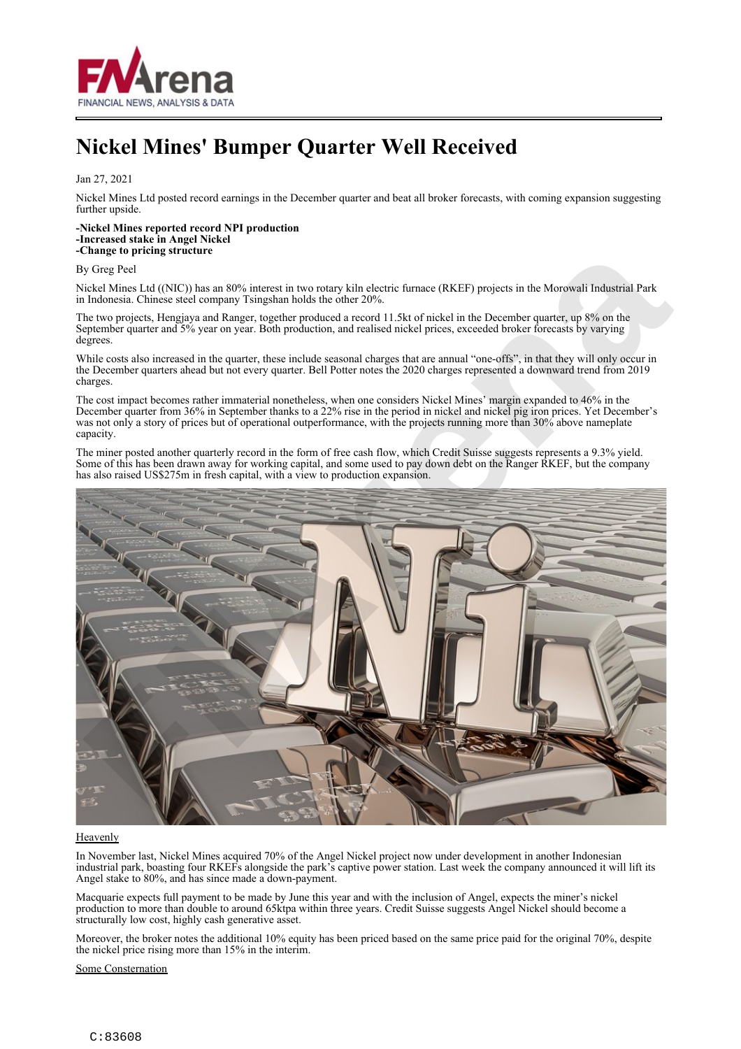

## **Nickel Mines' Bumper Quarter Well Received**

Jan 27, 2021

Nickel Mines Ltd posted record earnings in the December quarter and beat all broker forecasts, with coming expansion suggesting further upside.

## **-Nickel Mines reported record NPI production -Increased stake in Angel Nickel -Change to pricing structure**

## By Greg Peel

Nickel Mines Ltd ((NIC)) has an 80% interest in two rotary kiln electric furnace (RKEF) projects in the Morowali Industrial Park in Indonesia. Chinese steel company Tsingshan holds the other 20%.

The two projects, Hengjaya and Ranger, together produced a record 11.5kt of nickel in the December quarter, up 8% on the September quarter and 5% year on year. Both production, and realised nickel prices, exceeded broker forecasts by varying degrees.

While costs also increased in the quarter, these include seasonal charges that are annual "one-offs", in that they will only occur in the December quarters ahead but not every quarter. Bell Potter notes the 2020 charges represented a downward trend from 2019 charges.

The cost impact becomes rather immaterial nonetheless, when one considers Nickel Mines' margin expanded to 46% in the December quarter from 36% in September thanks to a 22% rise in the period in nickel and nickel pig iron prices. Yet December's was not only a story of prices but of operational outperformance, with the projects running more than 30% above nameplate capacity.

The miner posted another quarterly record in the form of free cash flow, which Credit Suisse suggests represents a 9.3% yield. Some of this has been drawn away for working capital, and some used to pay down debt on the Ranger RKEF, but the company has also raised US\$275m in fresh capital, with a view to production expansion.



## **Heavenly**

In November last, Nickel Mines acquired 70% of the Angel Nickel project now under development in another Indonesian industrial park, boasting four RKEFs alongside the park's captive power station. Last week the company announced it will lift its Angel stake to 80%, and has since made a down-payment.

Macquarie expects full payment to be made by June this year and with the inclusion of Angel, expects the miner's nickel production to more than double to around 65ktpa within three years. Credit Suisse suggests Angel Nickel should become a structurally low cost, highly cash generative asset.

Moreover, the broker notes the additional 10% equity has been priced based on the same price paid for the original 70%, despite the nickel price rising more than 15% in the interim.

Some Consternation